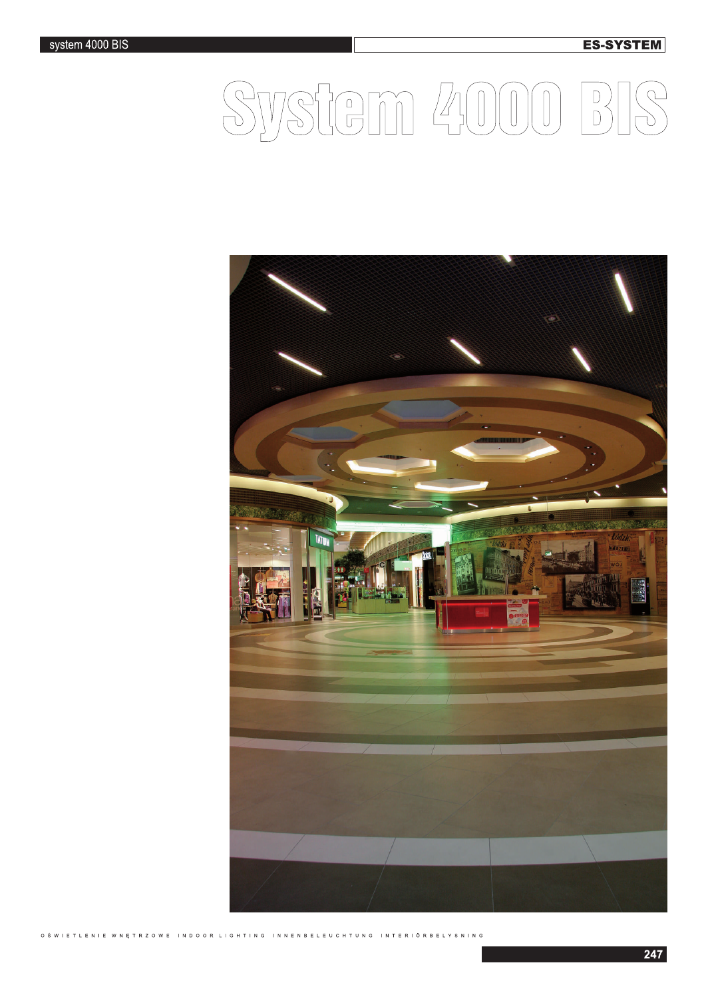**ES-SYSTEM** 

## System 4000  $\begin{array}{c} D \\ D \end{array}$



O ŚWIETLENIE W NĘTRZOWE INDOOR LIGHTING INNENBELEUCH INTERIÖRBELYSNING T U N G